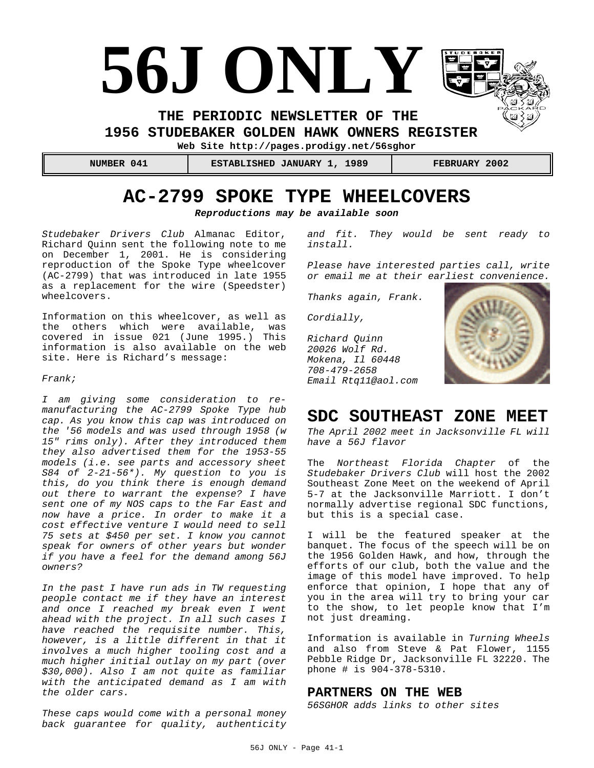# **56J ONLY**

**THE PERIODIC NEWSLETTER OF THE** 

**1956 STUDEBAKER GOLDEN HAWK OWNERS REGISTER** 

**Web Site http://pages.prodigy.net/56sghor**

 **NUMBER 041 ESTABLISHED JANUARY 1, 1989 FEBRUARY 2002**

# **AC-2799 SPOKE TYPE WHEELCOVERS**

*Reproductions may be available soon*

*Studebaker Drivers Club* Almanac Editor, Richard Quinn sent the following note to me on December 1, 2001. He is considering reproduction of the Spoke Type wheelcover (AC-2799) that was introduced in late 1955 as a replacement for the wire (Speedster) wheelcovers.

Information on this wheelcover, as well as the others which were available, was covered in issue 021 (June 1995.) This information is also available on the web site. Here is Richard's message:

#### *Frank;*

*I am giving some consideration to remanufacturing the AC-2799 Spoke Type hub cap. As you know this cap was introduced on the '56 models and was used through 1958 (w 15" rims only). After they introduced them they also advertised them for the 1953-55 models (i.e. see parts and accessory sheet S84 of 2-21-56\*). My question to you is this, do you think there is enough demand out there to warrant the expense? I have sent one of my NOS caps to the Far East and now have a price. In order to make it a cost effective venture I would need to sell 75 sets at \$450 per set. I know you cannot speak for owners of other years but wonder if you have a feel for the demand among 56J owners?*

*In the past I have run ads in TW requesting people contact me if they have an interest and once I reached my break even I went ahead with the project. In all such cases I have reached the requisite number. This, however, is a little different in that it involves a much higher tooling cost and a much higher initial outlay on my part (over \$30,000). Also I am not quite as familiar with the anticipated demand as I am with the older cars.*

*These caps would come with a personal money back guarantee for quality, authenticity* *and fit. They would be sent ready to install.* 

*Please have interested parties call, write or email me at their earliest convenience.*

*Thanks again, Frank.* 

*Cordially,* 

*Richard Quinn 20026 Wolf Rd. Mokena, Il 60448 708-479-2658 Email Rtq11@aol.com*



## **SDC SOUTHEAST ZONE MEET**

*The April 2002 meet in Jacksonville FL will have a 56J flavor*

The *Northeast Florida Chapter* of the *Studebaker Drivers Club* will host the 2002 Southeast Zone Meet on the weekend of April 5-7 at the Jacksonville Marriott. I don't normally advertise regional SDC functions, but this is a special case.

I will be the featured speaker at the banquet. The focus of the speech will be on the 1956 Golden Hawk, and how, through the efforts of our club, both the value and the image of this model have improved. To help enforce that opinion, I hope that any of you in the area will try to bring your car to the show, to let people know that I'm not just dreaming.

Information is available in *Turning Wheels* and also from Steve & Pat Flower, 1155 Pebble Ridge Dr, Jacksonville FL 32220. The phone # is 904-378-5310.

## **PARTNERS ON THE WEB**

*56SGHOR adds links to other sites*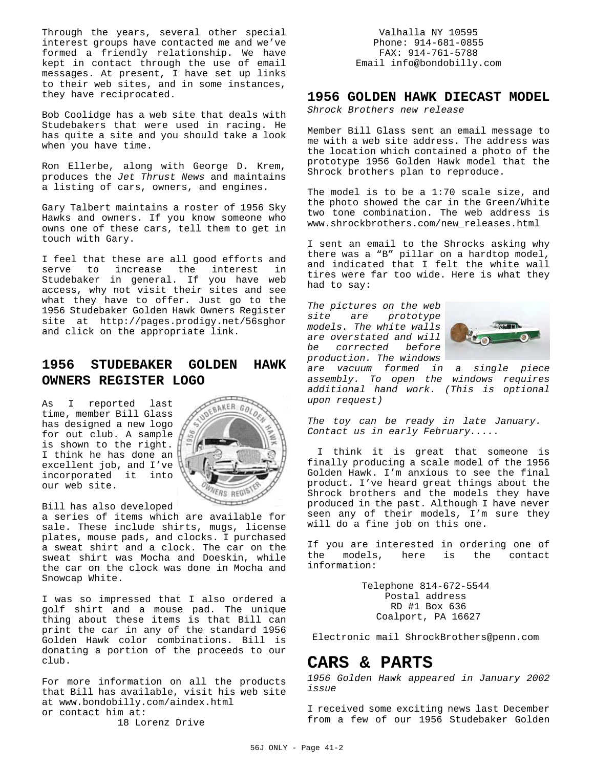Through the years, several other special interest groups have contacted me and we've formed a friendly relationship. We have kept in contact through the use of email messages. At present, I have set up links to their web sites, and in some instances, they have reciprocated.

Bob Coolidge has a web site that deals with Studebakers that were used in racing. He has quite a site and you should take a look when you have time.

Ron Ellerbe, along with George D. Krem, produces the *Jet Thrust News* and maintains a listing of cars, owners, and engines.

Gary Talbert maintains a roster of 1956 Sky Hawks and owners. If you know someone who owns one of these cars, tell them to get in touch with Gary.

I feel that these are all good efforts and serve to increase the interest in Studebaker in general. If you have web access, why not visit their sites and see what they have to offer. Just go to the 1956 Studebaker Golden Hawk Owners Register site at http://pages.prodigy.net/56sghor and click on the appropriate link.

## **1956 STUDEBAKER GOLDEN HAWK OWNERS REGISTER LOGO**

As I reported last time, member Bill Glass has designed a new logo for out club. A sample is shown to the right. I think he has done an  $\begin{bmatrix} 1 & 1 \\ 1 & 1 \end{bmatrix}$ excellent job, and I've incorporated it into our web site.



Bill has also developed

a series of items which are available for sale. These include shirts, mugs, license plates, mouse pads, and clocks. I purchased a sweat shirt and a clock. The car on the sweat shirt was Mocha and Doeskin, while the car on the clock was done in Mocha and Snowcap White.

I was so impressed that I also ordered a golf shirt and a mouse pad. The unique thing about these items is that Bill can print the car in any of the standard 1956 Golden Hawk color combinations. Bill is donating a portion of the proceeds to our club.

For more information on all the products that Bill has available, visit his web site at www.bondobilly.com/aindex.html or contact him at:

18 Lorenz Drive

Valhalla NY 10595 Phone: 914-681-0855 FAX: 914-761-5788 Email info@bondobilly.com

## **1956 GOLDEN HAWK DIECAST MODEL**

*Shrock Brothers new release*

Member Bill Glass sent an email message to me with a web site address. The address was the location which contained a photo of the prototype 1956 Golden Hawk model that the Shrock brothers plan to reproduce.

The model is to be a 1:70 scale size, and the photo showed the car in the Green/White two tone combination. The web address is www.shrockbrothers.com/new\_releases.html

I sent an email to the Shrocks asking why there was a "B" pillar on a hardtop model, and indicated that I felt the white wall tires were far too wide. Here is what they had to say:

*The pictures on the web site are prototype models. The white walls are overstated and will be corrected before production. The windows*



*are vacuum formed in a single piece assembly. To open the windows requires additional hand work. (This is optional upon request)*

*The toy can be ready in late January. Contact us in early February.....*

 I think it is great that someone is finally producing a scale model of the 1956 Golden Hawk. I'm anxious to see the final product. I've heard great things about the Shrock brothers and the models they have produced in the past. Although I have never seen any of their models, I'm sure they will do a fine job on this one.

If you are interested in ordering one of the models, here is the contact information:

> Telephone 814-672-5544 Postal address RD #1 Box 636 Coalport, PA 16627

Electronic mail ShrockBrothers@penn.com

## **CARS & PARTS**

*1956 Golden Hawk appeared in January 2002 issue*

I received some exciting news last December from a few of our 1956 Studebaker Golden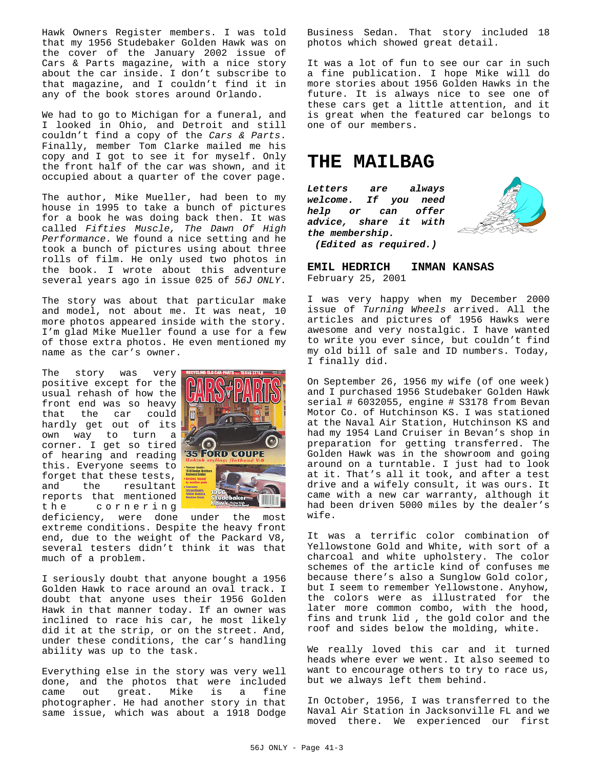Hawk Owners Register members. I was told that my 1956 Studebaker Golden Hawk was on the cover of the January 2002 issue of Cars & Parts magazine, with a nice story about the car inside. I don't subscribe to that magazine, and I couldn't find it in any of the book stores around Orlando.

We had to go to Michigan for a funeral, and I looked in Ohio, and Detroit and still couldn't find a copy of the *Cars & Parts*. Finally, member Tom Clarke mailed me his copy and I got to see it for myself. Only the front half of the car was shown, and it occupied about a quarter of the cover page.

The author, Mike Mueller, had been to my house in 1995 to take a bunch of pictures for a book he was doing back then. It was called *Fifties Muscle, The Dawn Of High Performance.* We found a nice setting and he took a bunch of pictures using about three rolls of film. He only used two photos in the book. I wrote about this adventure several years ago in issue 025 of *56J ONLY*.

The story was about that particular make and model, not about me. It was neat, 10 more photos appeared inside with the story. I'm glad Mike Mueller found a use for a few of those extra photos. He even mentioned my name as the car's owner.

The story was very positive except for the usual rehash of how the front end was so heavy that the car could hardly get out of its own way to turn a corner. I get so tired of hearing and reading this. Everyone seems to forget that these tests, and the resultant reports that mentioned the cornering



deficiency, were done under the most extreme conditions. Despite the heavy front end, due to the weight of the Packard V8, several testers didn't think it was that much of a problem.

I seriously doubt that anyone bought a 1956 Golden Hawk to race around an oval track. I doubt that anyone uses their 1956 Golden Hawk in that manner today. If an owner was inclined to race his car, he most likely did it at the strip, or on the street. And, under these conditions, the car's handling ability was up to the task.

Everything else in the story was very well done, and the photos that were included came out great. Mike is a fine photographer. He had another story in that same issue, which was about a 1918 Dodge

Business Sedan. That story included 18 photos which showed great detail.

It was a lot of fun to see our car in such a fine publication. I hope Mike will do more stories about 1956 Golden Hawks in the future. It is always nice to see one of these cars get a little attention, and it is great when the featured car belongs to one of our members.

## **THE MAILBAG**

*Letters are always welcome. If you need help or can offer advice, share it with the membership. (Edited as required.)*



**EMIL HEDRICH INMAN KANSAS** February 25, 2001

I was very happy when my December 2000 issue of *Turning Wheels* arrived. All the articles and pictures of 1956 Hawks were awesome and very nostalgic. I have wanted to write you ever since, but couldn't find my old bill of sale and ID numbers. Today, I finally did.

On September 26, 1956 my wife (of one week) and I purchased 1956 Studebaker Golden Hawk serial # 6032055, engine # S3178 from Bevan Motor Co. of Hutchinson KS. I was stationed at the Naval Air Station, Hutchinson KS and had my 1954 Land Cruiser in Bevan's shop in preparation for getting transferred. The Golden Hawk was in the showroom and going around on a turntable. I just had to look at it. That's all it took, and after a test drive and a wifely consult, it was ours. It came with a new car warranty, although it had been driven 5000 miles by the dealer's wife.

It was a terrific color combination of Yellowstone Gold and White, with sort of a charcoal and white upholstery. The color schemes of the article kind of confuses me because there's also a Sunglow Gold color, but I seem to remember Yellowstone. Anyhow, the colors were as illustrated for the later more common combo, with the hood, fins and trunk lid , the gold color and the roof and sides below the molding, white.

We really loved this car and it turned heads where ever we went. It also seemed to want to encourage others to try to race us, but we always left them behind.

In October, 1956, I was transferred to the Naval Air Station in Jacksonville FL and we moved there. We experienced our first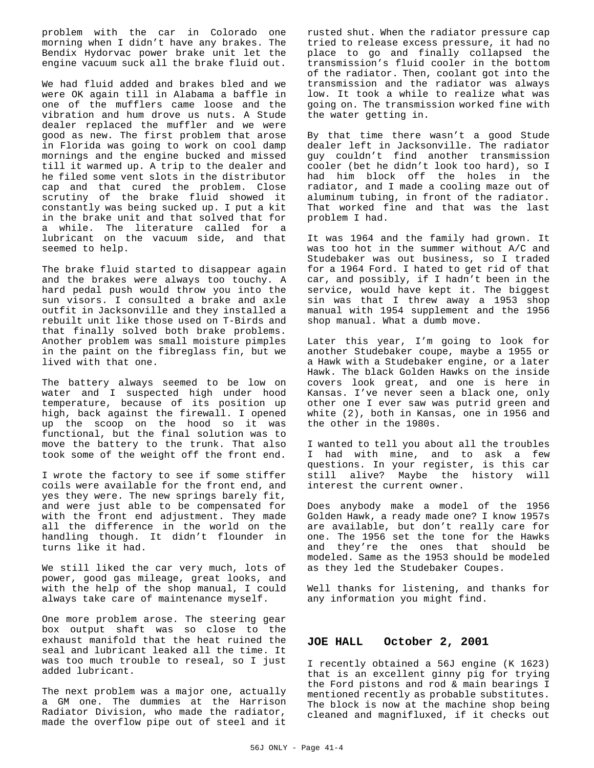problem with the car in Colorado one morning when I didn't have any brakes. The Bendix Hydorvac power brake unit let the engine vacuum suck all the brake fluid out.

We had fluid added and brakes bled and we were OK again till in Alabama a baffle in one of the mufflers came loose and the vibration and hum drove us nuts. A Stude dealer replaced the muffler and we were good as new. The first problem that arose in Florida was going to work on cool damp mornings and the engine bucked and missed till it warmed up. A trip to the dealer and he filed some vent slots in the distributor cap and that cured the problem. Close scrutiny of the brake fluid showed it constantly was being sucked up. I put a kit in the brake unit and that solved that for a while. The literature called for a lubricant on the vacuum side, and that seemed to help.

The brake fluid started to disappear again and the brakes were always too touchy. A hard pedal push would throw you into the sun visors. I consulted a brake and axle outfit in Jacksonville and they installed a rebuilt unit like those used on T-Birds and that finally solved both brake problems. Another problem was small moisture pimples in the paint on the fibreglass fin, but we lived with that one.

The battery always seemed to be low on water and I suspected high under hood temperature, because of its position up high, back against the firewall. I opened up the scoop on the hood so it was functional, but the final solution was to move the battery to the trunk. That also took some of the weight off the front end.

I wrote the factory to see if some stiffer coils were available for the front end, and yes they were. The new springs barely fit, and were just able to be compensated for with the front end adjustment. They made all the difference in the world on the handling though. It didn't flounder in turns like it had.

We still liked the car very much, lots of power, good gas mileage, great looks, and with the help of the shop manual, I could always take care of maintenance myself.

One more problem arose. The steering gear box output shaft was so close to the exhaust manifold that the heat ruined the seal and lubricant leaked all the time. It was too much trouble to reseal, so I just added lubricant.

The next problem was a major one, actually a GM one. The dummies at the Harrison Radiator Division, who made the radiator, made the overflow pipe out of steel and it

rusted shut. When the radiator pressure cap tried to release excess pressure, it had no place to go and finally collapsed the transmission's fluid cooler in the bottom of the radiator. Then, coolant got into the transmission and the radiator was always low. It took a while to realize what was going on. The transmission worked fine with the water getting in.

By that time there wasn't a good Stude dealer left in Jacksonville. The radiator guy couldn't find another transmission cooler (bet he didn't look too hard), so I had him block off the holes in the radiator, and I made a cooling maze out of aluminum tubing, in front of the radiator. That worked fine and that was the last problem I had.

It was 1964 and the family had grown. It was too hot in the summer without A/C and Studebaker was out business, so I traded for a 1964 Ford. I hated to get rid of that car, and possibly, if I hadn't been in the service, would have kept it. The biggest sin was that I threw away a 1953 shop manual with 1954 supplement and the 1956 shop manual. What a dumb move.

Later this year, I'm going to look for another Studebaker coupe, maybe a 1955 or a Hawk with a Studebaker engine, or a later Hawk. The black Golden Hawks on the inside covers look great, and one is here in Kansas. I've never seen a black one, only other one I ever saw was putrid green and white (2), both in Kansas, one in 1956 and the other in the 1980s.

I wanted to tell you about all the troubles I had with mine, and to ask a few questions. In your register, is this car still alive? Maybe the history will interest the current owner.

Does anybody make a model of the 1956 Golden Hawk, a ready made one? I know 1957s are available, but don't really care for one. The 1956 set the tone for the Hawks and they're the ones that should be modeled. Same as the 1953 should be modeled as they led the Studebaker Coupes.

Well thanks for listening, and thanks for any information you might find.

#### **JOE HALL October 2, 2001**

I recently obtained a 56J engine (K 1623) that is an excellent ginny pig for trying the Ford pistons and rod & main bearings I mentioned recently as probable substitutes. The block is now at the machine shop being cleaned and magnifluxed, if it checks out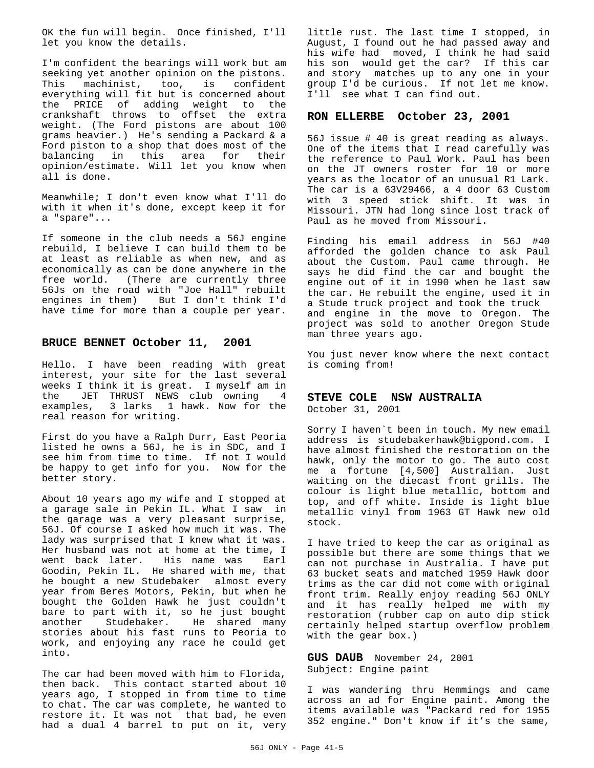OK the fun will begin. Once finished, I'll let you know the details.

I'm confident the bearings will work but am seeking yet another opinion on the pistons. This machinist, too, is confident everything will fit but is concerned about the PRICE of adding weight to the crankshaft throws to offset the extra weight. (The Ford pistons are about 100 grams heavier.) He's sending a Packard & a Ford piston to a shop that does most of the balancing in this area for their opinion/estimate. Will let you know when all is done.

Meanwhile; I don't even know what I'll do with it when it's done, except keep it for a "spare"...

If someone in the club needs a 56J engine rebuild, I believe I can build them to be at least as reliable as when new, and as economically as can be done anywhere in the free world. (There are currently three 56Js on the road with "Joe Hall" rebuilt engines in them) But I don't think I'd have time for more than a couple per year.

#### **BRUCE BENNET October 11, 2001**

Hello. I have been reading with great interest, your site for the last several weeks I think it is great. I myself am in the JET THRUST NEWS club owning 4 examples, 3 larks 1 hawk. Now for the real reason for writing.

First do you have a Ralph Durr, East Peoria listed he owns a 56J, he is in SDC, and I see him from time to time. If not I would be happy to get info for you. Now for the better story.

About 10 years ago my wife and I stopped at a garage sale in Pekin IL. What I saw in the garage was a very pleasant surprise, 56J. Of course I asked how much it was. The lady was surprised that I knew what it was. Her husband was not at home at the time, I went back later. His name was Earl Goodin, Pekin IL. He shared with me, that he bought a new Studebaker almost every year from Beres Motors, Pekin, but when he bought the Golden Hawk he just couldn't bare to part with it, so he just bought<br>another Studebaker. He shared many another Studebaker. stories about his fast runs to Peoria to work, and enjoying any race he could get into.

The car had been moved with him to Florida, then back. This contact started about 10 years ago, I stopped in from time to time to chat. The car was complete, he wanted to restore it. It was not that bad, he even had a dual 4 barrel to put on it, very little rust. The last time I stopped, in August, I found out he had passed away and his wife had moved, I think he had said his son would get the car? If this car and story matches up to any one in your group I'd be curious. If not let me know. I'll see what I can find out.

## **RON ELLERBE October 23, 2001**

56J issue # 40 is great reading as always. One of the items that I read carefully was the reference to Paul Work. Paul has been on the JT owners roster for 10 or more years as the locator of an unusual R1 Lark. The car is a 63V29466, a 4 door 63 Custom with 3 speed stick shift. It was in Missouri. JTN had long since lost track of Paul as he moved from Missouri.

Finding his email address in 56J #40 afforded the golden chance to ask Paul about the Custom. Paul came through. He says he did find the car and bought the engine out of it in 1990 when he last saw the car. He rebuilt the engine, used it in a Stude truck project and took the truck and engine in the move to Oregon. The project was sold to another Oregon Stude man three years ago.

You just never know where the next contact is coming from!

#### **STEVE COLE NSW AUSTRALIA**

October 31, 2001

Sorry I haven`t been in touch. My new email address is studebakerhawk@bigpond.com. I have almost finished the restoration on the hawk, only the motor to go. The auto cost me a fortune [4,500] Australian. Just waiting on the diecast front grills. The colour is light blue metallic, bottom and top, and off white. Inside is light blue metallic vinyl from 1963 GT Hawk new old stock.

I have tried to keep the car as original as possible but there are some things that we can not purchase in Australia. I have put 63 bucket seats and matched 1959 Hawk door trims as the car did not come with original front trim. Really enjoy reading 56J ONLY and it has really helped me with my restoration (rubber cap on auto dip stick certainly helped startup overflow problem with the gear box.)

**GUS DAUB** November 24, 2001 Subject: Engine paint

I was wandering thru Hemmings and came across an ad for Engine paint. Among the items available was "Packard red for 1955 352 engine." Don't know if it's the same,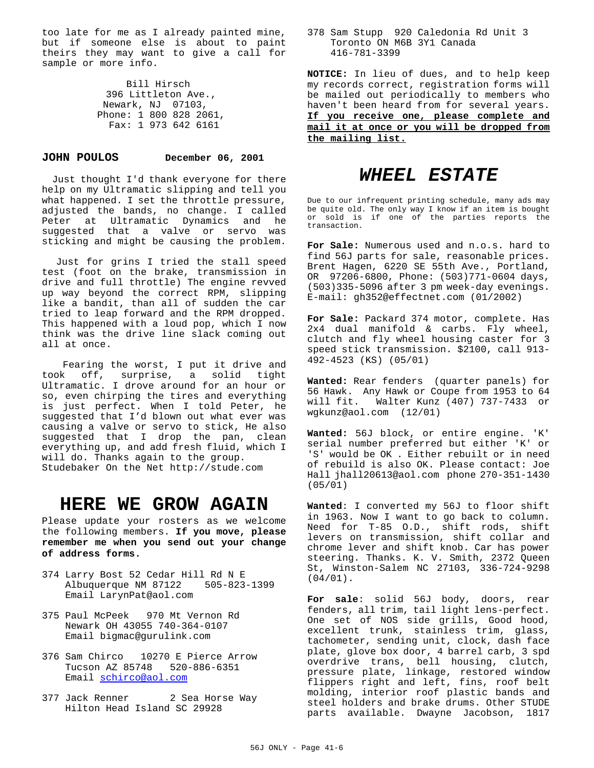too late for me as I already painted mine, but if someone else is about to paint theirs they may want to give a call for sample or more info.

> Bill Hirsch 396 Littleton Ave., Newark, NJ 07103, Phone: 1 800 828 2061, Fax: 1 973 642 6161

#### **JOHN POULOS December 06, 2001**

 Just thought I'd thank everyone for there help on my Ultramatic slipping and tell you what happened. I set the throttle pressure, adjusted the bands, no change. I called Peter at Ultramatic Dynamics and he suggested that a valve or servo was sticking and might be causing the problem.

 Just for grins I tried the stall speed test (foot on the brake, transmission in drive and full throttle) The engine revved up way beyond the correct RPM, slipping like a bandit, than all of sudden the car tried to leap forward and the RPM dropped. This happened with a loud pop, which I now think was the drive line slack coming out all at once.

 Fearing the worst, I put it drive and took off, surprise, a solid tight Ultramatic. I drove around for an hour or so, even chirping the tires and everything is just perfect. When I told Peter, he suggested that I'd blown out what ever was causing a valve or servo to stick, He also suggested that I drop the pan, clean everything up, and add fresh fluid, which I will do. Thanks again to the group. Studebaker On the Net http://stude.com

## **HERE WE GROW AGAIN**

Please update your rosters as we welcome the following members. **If you move, please remember me when you send out your change of address forms.**

- 374 Larry Bost 52 Cedar Hill Rd N E<br>Albuquerque NM 87122 505-823-1399 Albuquerque NM 87122 Email LarynPat@aol.com
- 375 Paul McPeek 970 Mt Vernon Rd Newark OH 43055 740-364-0107 Email bigmac@gurulink.com
- 376 Sam Chirco 10270 E Pierce Arrow Tucson AZ 85748 520-886-6351 Email schirco@aol.com
- 377 Jack Renner 2 Sea Horse Way Hilton Head Island SC 29928

#### 378 Sam Stupp 920 Caledonia Rd Unit 3 Toronto ON M6B 3Y1 Canada 416-781-3399

**NOTICE:** In lieu of dues, and to help keep my records correct, registration forms will be mailed out periodically to members who haven't been heard from for several years. **If you receive one, please complete and mail it at once or you will be dropped from the mailing list.**

## *WHEEL ESTATE*

Due to our infrequent printing schedule, many ads may be quite old. The only way I know if an item is bought or sold is if one of the parties reports the transaction.

**For Sale:** Numerous used and n.o.s. hard to find 56J parts for sale, reasonable prices. Brent Hagen, 6220 SE 55th Ave., Portland, OR 97206-6800, Phone: (503)771-0604 days, (503)335-5096 after 3 pm week-day evenings. E-mail: gh352@effectnet.com (01/2002)

**For Sale:** Packard 374 motor, complete. Has 2x4 dual manifold & carbs. Fly wheel, clutch and fly wheel housing caster for 3 speed stick transmission. \$2100, call 913- 492-4523 (KS) (05/01)

**Wanted:** Rear fenders (quarter panels) for 56 Hawk. Any Hawk or Coupe from 1953 to 64 will fit. Walter Kunz (407) 737-7433 or wgkunz@aol.com (12/01)

**Wanted:** 56J block, or entire engine. 'K' serial number preferred but either 'K' or 'S' would be OK . Either rebuilt or in need of rebuild is also OK. Please contact: Joe Hall jhall20613@aol.com phone 270-351-1430 (05/01)

**Wanted**: I converted my 56J to floor shift in 1963. Now I want to go back to column. Need for T-85 O.D., shift rods, shift levers on transmission, shift collar and chrome lever and shift knob. Car has power steering. Thanks. K. V. Smith, 2372 Queen St, Winston-Salem NC 27103, 336-724-9298 (04/01).

**For sale**: solid 56J body, doors, rear fenders, all trim, tail light lens-perfect. One set of NOS side grills, Good hood, excellent trunk, stainless trim, glass, tachometer, sending unit, clock, dash face plate, glove box door, 4 barrel carb, 3 spd overdrive trans, bell housing, clutch, pressure plate, linkage, restored window flippers right and left, fins, roof belt molding, interior roof plastic bands and steel holders and brake drums. Other STUDE parts available. Dwayne Jacobson, 1817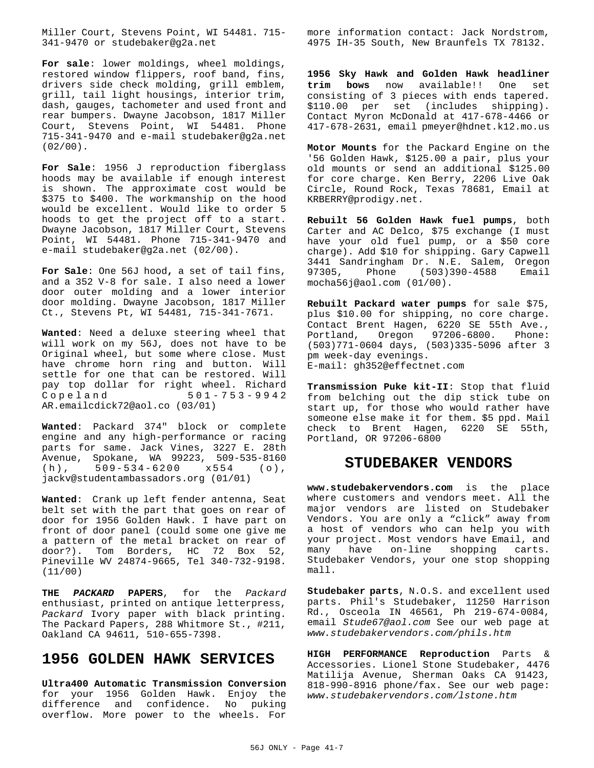Miller Court, Stevens Point, WI 54481. 715- 341-9470 or studebaker@g2a.net

**For sale**: lower moldings, wheel moldings, restored window flippers, roof band, fins, drivers side check molding, grill emblem, grill, tail light housings, interior trim, dash, gauges, tachometer and used front and rear bumpers. Dwayne Jacobson, 1817 Miller Court, Stevens Point, WI 54481. Phone 715-341-9470 and e-mail studebaker@g2a.net  $(02/00)$ .

**For Sale**: 1956 J reproduction fiberglass hoods may be available if enough interest is shown. The approximate cost would be \$375 to \$400. The workmanship on the hood would be excellent. Would like to order 5 hoods to get the project off to a start. Dwayne Jacobson, 1817 Miller Court, Stevens Point, WI 54481. Phone 715-341-9470 and e-mail studebaker@g2a.net (02/00).

**For Sale**: One 56J hood**,** a set of tail fins, and a 352 V-8 for sale. I also need a lower door outer molding and a lower interior door molding. Dwayne Jacobson, 1817 Miller Ct., Stevens Pt, WI 54481, 715-341-7671.

**Wanted**: Need a deluxe steering wheel that will work on my 56J, does not have to be Original wheel, but some where close. Must have chrome horn ring and button. Will settle for one that can be restored. Will pay top dollar for right wheel. Richard  $501 - 753 - 9942$ AR.emailcdick72@aol.co (03/01)

**Wanted**: Packard 374" block or complete engine and any high-performance or racing parts for same. Jack Vines, 3227 E. 28th Avenue, Spokane, WA 99223, 509-535-8160<br>(h), 509-534-6200 x554 (o), (h), 509-534-6200 x554 (o), jackv@studentambassadors.org (01/01)

**Wanted**: Crank up left fender antenna, Seat belt set with the part that goes on rear of door for 1956 Golden Hawk. I have part on front of door panel (could some one give me a pattern of the metal bracket on rear of door?). Tom Borders, HC 72 Box 52, Pineville WV 24874-9665, Tel 340-732-9198. (11/00)

**THE** *PACKARD* **PAPERS**, for the *Packard* enthusiast, printed on antique letterpress, *Packard* Ivory paper with black printing. The Packard Papers, 288 Whitmore St., #211, Oakland CA 94611, 510-655-7398.

## **1956 GOLDEN HAWK SERVICES**

**Ultra400 Automatic Transmission Conversion** for your 1956 Golden Hawk. Enjoy the difference and confidence. No puking overflow. More power to the wheels. For

more information contact: Jack Nordstrom, 4975 IH-35 South, New Braunfels TX 78132.

**1956 Sky Hawk and Golden Hawk headliner trim bows** now available!! One set consisting of 3 pieces with ends tapered. \$110.00 per set (includes shipping). Contact Myron McDonald at 417-678-4466 or 417-678-2631, email pmeyer@hdnet.k12.mo.us

**Motor Mounts** for the Packard Engine on the '56 Golden Hawk, \$125.00 a pair, plus your old mounts or send an additional \$125.00 for core charge. Ken Berry, 2206 Live Oak Circle, Round Rock, Texas 78681, Email at KRBERRY@prodigy.net.

**Rebuilt 56 Golden Hawk fuel pumps**, both Carter and AC Delco, \$75 exchange (I must have your old fuel pump, or a \$50 core charge). Add \$10 for shipping. Gary Capwell 3441 Sandringham Dr. N.E. Salem, Oregon Phone (503)390-4588 Email mocha56j@aol.com (01/00).

**Rebuilt Packard water pumps** for sale \$75, plus \$10.00 for shipping, no core charge. Contact Brent Hagen, 6220 SE 55th Ave.,<br>Portland, Oregon 97206-6800. Phone: Oregon 97206-6800. Phone: (503)771-0604 days, (503)335-5096 after 3 pm week-day evenings. E-mail: gh352@effectnet.com

**Transmission Puke kit-II**: Stop that fluid from belching out the dip stick tube on start up, for those who would rather have someone else make it for them. \$5 ppd. Mail check to Brent Hagen, 6220 SE 55th, Portland, OR 97206-6800

## **STUDEBAKER VENDORS**

**www.studebakervendors.com** is the place where customers and vendors meet. All the major vendors are listed on Studebaker Vendors. You are only a "click" away from a host of vendors who can help you with your project. Most vendors have Email, and many have on-line shopping carts. Studebaker Vendors, your one stop shopping mall.

**Studebaker parts**, N.O.S. and excellent used parts. Phil's Studebaker, 11250 Harrison Rd., Osceola IN 46561, Ph 219-674-0084, email *Stude67@aol.com* See our web page at *www.studebakervendors.com/phils.htm*

**HIGH PERFORMANCE Reproduction** Parts & Accessories. Lionel Stone Studebaker, 4476 Matilija Avenue, Sherman Oaks CA 91423, 818-990-8916 phone/fax. See our web page: *www.studebakervendors.com/lstone.htm*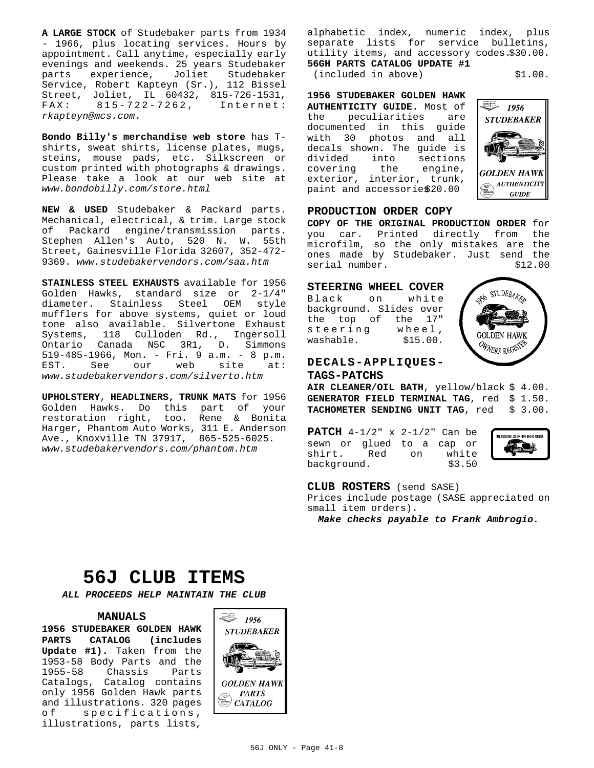**A LARGE STOCK** of Studebaker parts from 1934 - 1966, plus locating services. Hours by appointment. Call anytime, especially early evenings and weekends. 25 years Studebaker parts experience, Joliet Studebaker Service, Robert Kapteyn (Sr.), 112 Bissel Street, Joliet, IL 60432, 815-726-1531, 815 - 722 - 7262, *rkapteyn@mcs.com*.

**Bondo Billy's merchandise web store** has Tshirts, sweat shirts, license plates, mugs, steins, mouse pads, etc. Silkscreen or custom printed with photographs & drawings. Please take a look at our web site at *www.bondobilly.com/store.html*

**NEW & USED** Studebaker & Packard parts. Mechanical, electrical, & trim. Large stock of Packard engine/transmission parts. Stephen Allen's Auto, 520 N. W. 55th Street, Gainesville Florida 32607, 352-472- 9369. *www.studebakervendors.com/saa.htm*

**STAINLESS STEEL EXHAUSTS** available for 1956 Golden Hawks, standard size or 2-1/4" diameter. Stainless Steel OEM style mufflers for above systems, quiet or loud tone also available. Silvertone Exhaust Systems, 118 Culloden Rd., Ingersoll Ontario Canada N5C 3R1, D. Simmons 519-485-1966, Mon. - Fri. 9 a.m. - 8 p.m. EST. See our web site at: *www.studebakervendors.com/silverto.htm*

**UPHOLSTERY**, **HEADLINERS, TRUNK MATS** for 1956 Golden Hawks. Do this part of your restoration right, too. Rene & Bonita Harger, Phantom Auto Works, 311 E. Anderson Ave., Knoxville TN 37917, 865-525-6025. *www.studebakervendors.com/phantom.htm*

alphabetic index, numeric index, plus separate lists for service bulletins, utility items, and accessory codes.\$30.00. **56GH PARTS CATALOG UPDATE #1**

(included in above) \$1.00.

**1956 STUDEBAKER GOLDEN HAWK AUTHENTICITY GUIDE.** Most of the peculiarities are documented in this guide with 30 photos and all decals shown. The guide is<br>divided into sections sections covering the engine, exterior, interior, trunk, paint and accessorie\$20.00



#### **PRODUCTION ORDER COPY**

**COPY OF THE ORIGINAL PRODUCTION ORDER** for you car. Printed directly from the microfilm, so the only mistakes are the ones made by Studebaker. Just send the serial number.  $$12.00$ 

#### **STEERING WHEEL COVER**

Black on white background. Slides over the top of the 17" steering wheel, washable.  $$15.00.$ 



### **DECALS-APPLIQUES-TAGS-PATCHS**

**AIR CLEANER/OIL BATH**, yellow/black \$ 4.00. GENERATOR FIELD TERMINAL TAG, red \$ 1.50. **TACHOMETER SENDING UNIT TAG**, red \$ 3.00.

**PATCH** 4-1/2" x 2-1/2" Can be sewn or glued to a cap or shirt. Red on white background. \$3.50



**CLUB ROSTERS** (send SASE)

Prices include postage (SASE appreciated on small item orders).

*Make checks payable to Frank Ambrogio.*

## **56J CLUB ITEMS**

*ALL PROCEEDS HELP MAINTAIN THE CLUB*

#### **MANUALS**

**1956 STUDEBAKER GOLDEN HAWK PARTS CATALOG (includes Update #1).** Taken from the 1953-58 Body Parts and the Chassis Parts Catalogs, Catalog contains only 1956 Golden Hawk parts and illustrations. 320 pages of specifications, illustrations, parts lists,

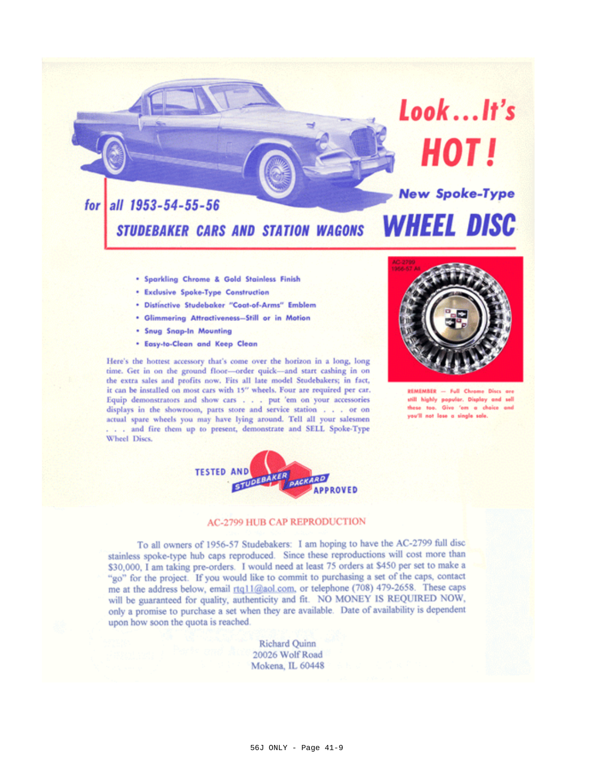

- . Sparkling Chrome & Gold Stainless Finish
- \* Exclusive Spoke-Type Construction
- \* Distinctive Studebaker "Coat-of-Arms" Emblem
- . Glimmering Attractiveness-Still or in Motion
- . Snug Snap-In Mounting
- \* Easy-to-Clean and Keep Clean

Here's the hottest accessory that's come over the horizon in a long, long time. Get in on the ground floor-order quick-and start cashing in on the extra sales and profits now. Fits all late model Studebakers; in fact, it can be installed on most cars with 15" wheels. Four are required per car. Equip demonstrators and show cars . . . put 'em on your accessories displays in the showroom, parts store and service station . . . or on actual spare wheels you may have lying around. Tell all your salesmen . . and fire them up to present, demonstrate and SELL Spoke-Type Wheel Discs.



REMEMBER - Full Chrome Discs are still highly popular. Display and sell these too. Give 'em a choice and you'll not lose a single sale.



## **AC-2799 HUB CAP REPRODUCTION**

To all owners of 1956-57 Studebakers: I am hoping to have the AC-2799 full disc stainless spoke-type hub caps reproduced. Since these reproductions will cost more than \$30,000, I am taking pre-orders. I would need at least 75 orders at \$450 per set to make a "go" for the project. If you would like to commit to purchasing a set of the caps, contact me at the address below, email rtq11@aol.com, or telephone (708) 479-2658. These caps will be guaranteed for quality, authenticity and fit. NO MONEY IS REQUIRED NOW, only a promise to purchase a set when they are available. Date of availability is dependent upon how soon the quota is reached.

> Richard Quinn 20026 Wolf Road Mokena, IL 60448